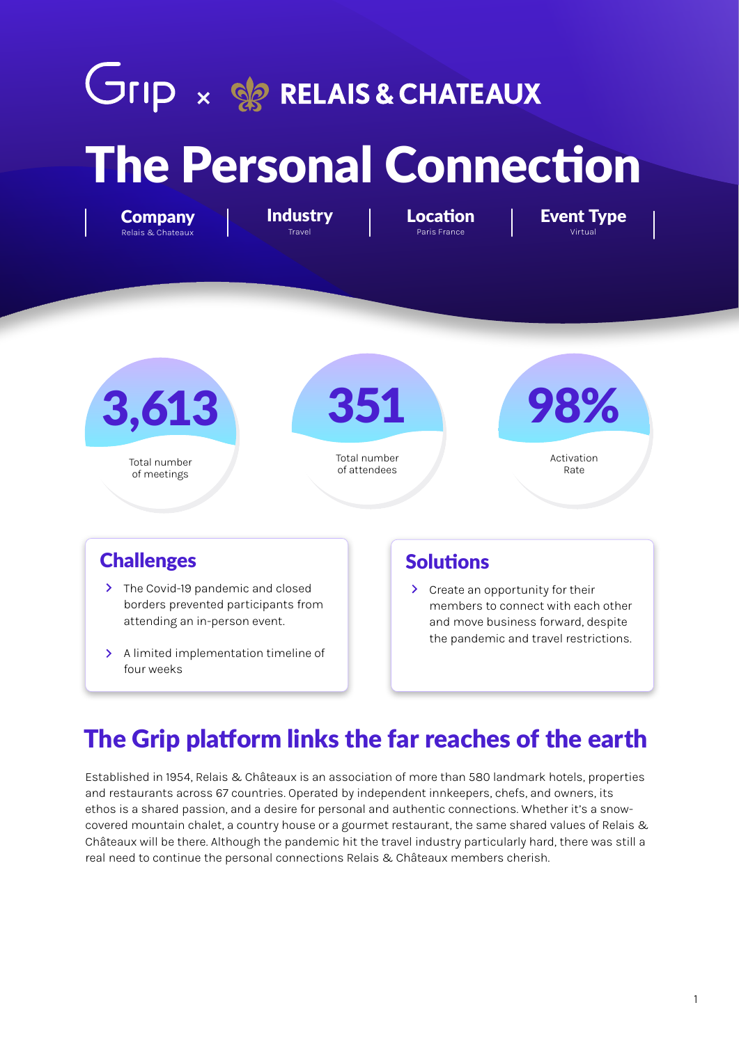# **JIID × SOR RELAIS & CHATEAUX** The Personal Connection

**Industry** Travel

351 Total number of attendees 98% Activation Rate 3,613 Total number of meetings

#### **Challenges** Solutions

Company Relais & Chateaux

- > The Covid-19 pandemic and closed borders prevented participants from attending an in-person event.
- > A limited implementation timeline of four weeks

**Paris France** 

> Create an opportunity for their members to connect with each other and move business forward, despite the pandemic and travel restrictions.

Location | Event Type

# The Grip platform links the far reaches of the earth

Established in 1954, Relais & Châteaux is an association of more than 580 landmark hotels, properties and restaurants across 67 countries. Operated by independent innkeepers, chefs, and owners, its ethos is a shared passion, and a desire for personal and authentic connections. Whether it's a snowcovered mountain chalet, a country house or a gourmet restaurant, the same shared values of Relais & Châteaux will be there. Although the pandemic hit the travel industry particularly hard, there was still a real need to continue the personal connections Relais & Châteaux members cherish.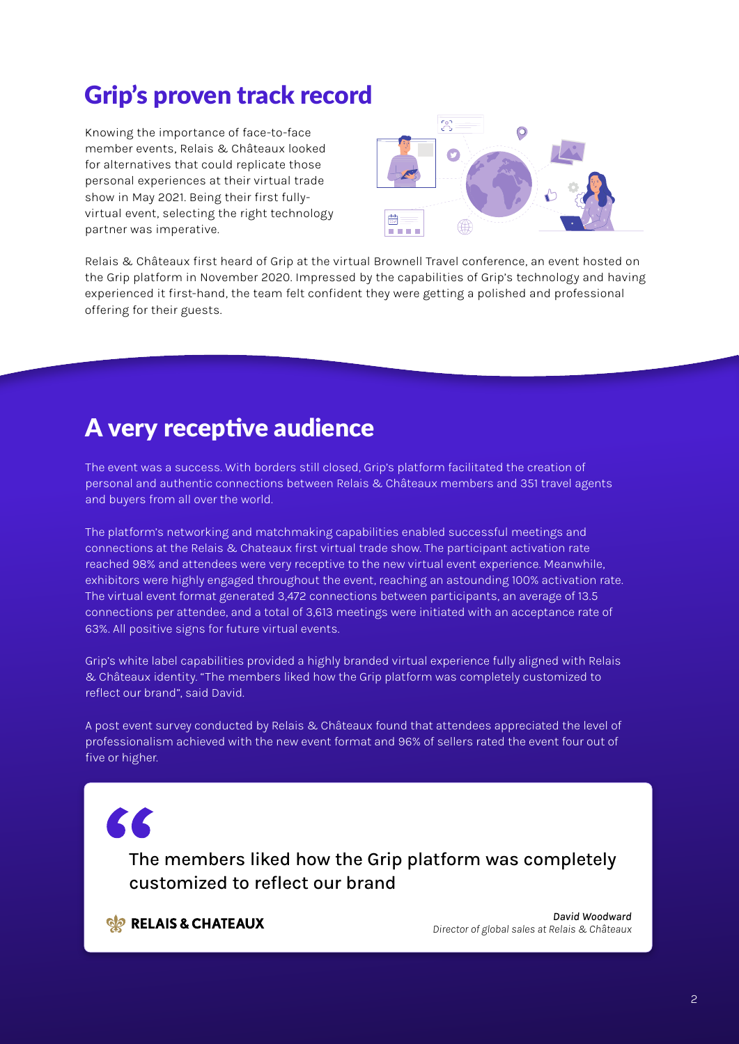## Grip's proven track record

Knowing the importance of face-to-face member events, Relais & Châteaux looked for alternatives that could replicate those personal experiences at their virtual trade show in May 2021. Being their first fullyvirtual event, selecting the right technology partner was imperative.



Relais & Châteaux first heard of Grip at the virtual Brownell Travel conference, an event hosted on the Grip platform in November 2020. Impressed by the capabilities of Grip's technology and having experienced it first-hand, the team felt confident they were getting a polished and professional offering for their guests.

#### A very receptive audience

The event was a success. With borders still closed, Grip's platform facilitated the creation of personal and authentic connections between Relais & Châteaux members and 351 travel agents and buyers from all over the world.

The platform's networking and matchmaking capabilities enabled successful meetings and connections at the Relais & Chateaux first virtual trade show. The participant activation rate reached 98% and attendees were very receptive to the new virtual event experience. Meanwhile, exhibitors were highly engaged throughout the event, reaching an astounding 100% activation rate. The virtual event format generated 3,472 connections between participants, an average of 13.5 connections per attendee, and a total of 3,613 meetings were initiated with an acceptance rate of 63%. All positive signs for future virtual events.

Grip's white label capabilities provided a highly branded virtual experience fully aligned with Relais & Châteaux identity. "The members liked how the Grip platform was completely customized to reflect our brand", said David.

A post event survey conducted by Relais & Châteaux found that attendees appreciated the level of professionalism achieved with the new event format and 96% of sellers rated the event four out of five or higher.

 $\epsilon$ 

The members liked how the Grip platform was completely customized to reflect our brand

**SO RELAIS & CHATEAUX** 

*David Woodward Director of global sales at Relais & Châteaux*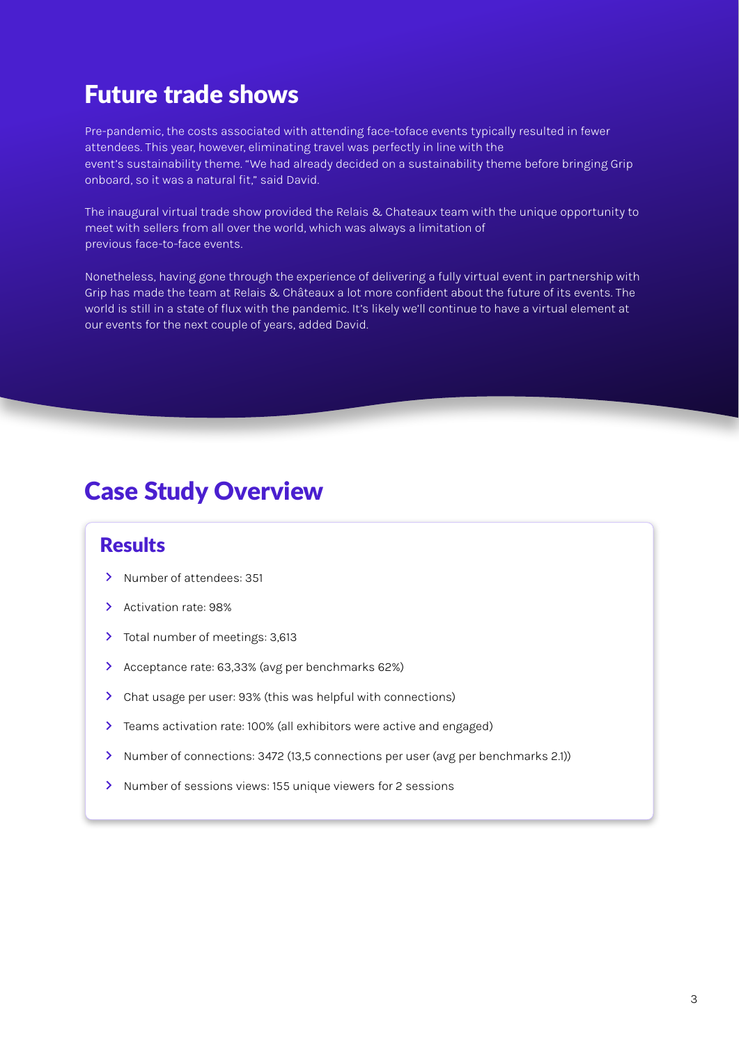## Future trade shows

Pre-pandemic, the costs associated with attending face-toface events typically resulted in fewer attendees. This year, however, eliminating travel was perfectly in line with the event's sustainability theme. "We had already decided on a sustainability theme before bringing Grip onboard, so it was a natural fit," said David.

The inaugural virtual trade show provided the Relais & Chateaux team with the unique opportunity to meet with sellers from all over the world, which was always a limitation of previous face-to-face events.

Nonetheless, having gone through the experience of delivering a fully virtual event in partnership with Grip has made the team at Relais & Châteaux a lot more confident about the future of its events. The world is still in a state of flux with the pandemic. It's likely we'll continue to have a virtual element at our events for the next couple of years, added David.

#### Case Study Overview

#### Results

- > Number of attendees: 351
- $\mathbf{\Sigma}$ Activation rate: 98%
- Total number of meetings: 3,613
- Acceptance rate: 63,33% (avg per benchmarks 62%)
- Chat usage per user: 93% (this was helpful with connections)
- Teams activation rate: 100% (all exhibitors were active and engaged)
- > Number of connections: 3472 (13,5 connections per user (avg per benchmarks 2.1))
- > Number of sessions views: 155 unique viewers for 2 sessions